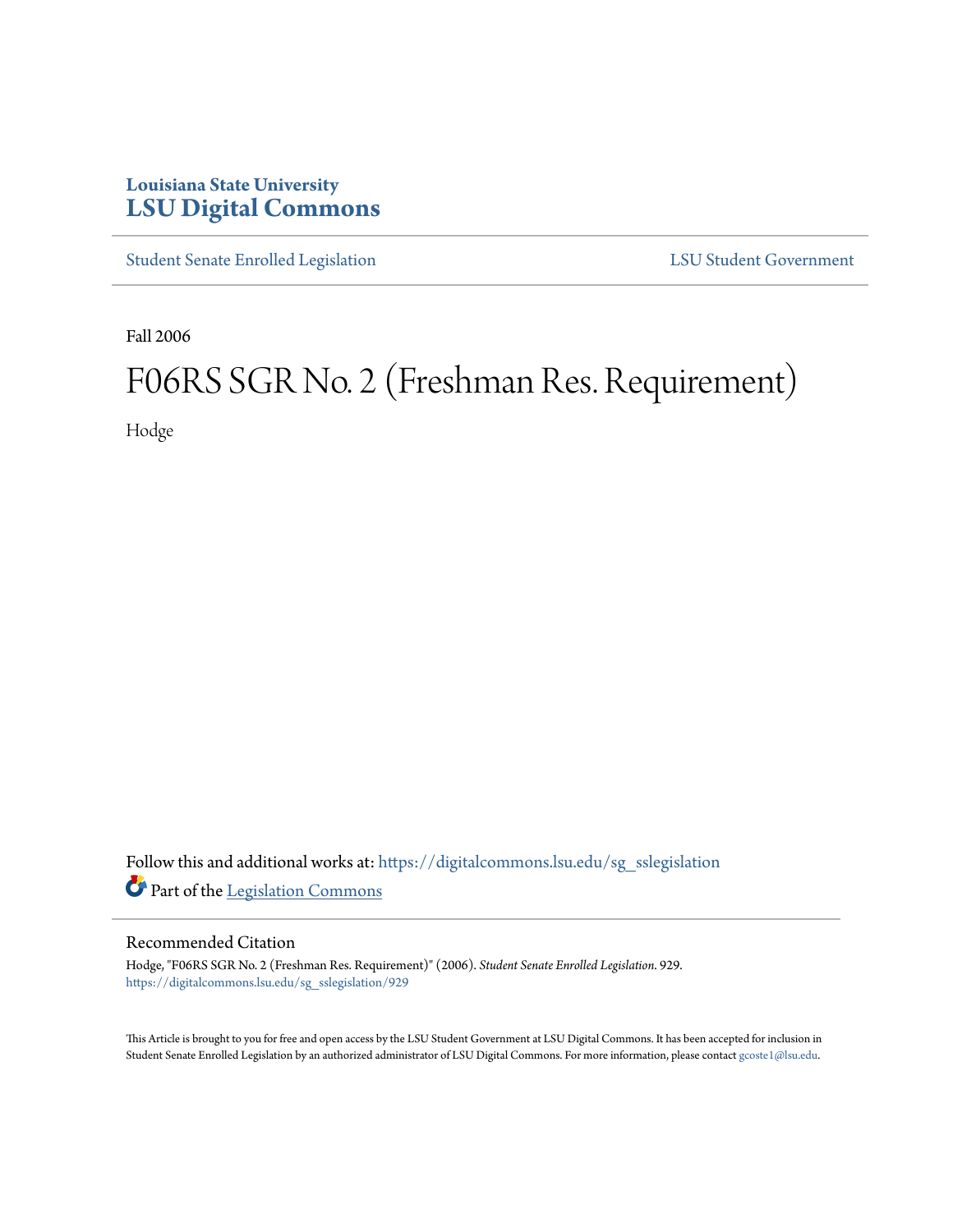## **Louisiana State University [LSU Digital Commons](https://digitalcommons.lsu.edu?utm_source=digitalcommons.lsu.edu%2Fsg_sslegislation%2F929&utm_medium=PDF&utm_campaign=PDFCoverPages)**

[Student Senate Enrolled Legislation](https://digitalcommons.lsu.edu/sg_sslegislation?utm_source=digitalcommons.lsu.edu%2Fsg_sslegislation%2F929&utm_medium=PDF&utm_campaign=PDFCoverPages) [LSU Student Government](https://digitalcommons.lsu.edu/sg?utm_source=digitalcommons.lsu.edu%2Fsg_sslegislation%2F929&utm_medium=PDF&utm_campaign=PDFCoverPages)

Fall 2006

## F06RS SGR No. 2 (Freshman Res. Requirement)

Hodge

Follow this and additional works at: [https://digitalcommons.lsu.edu/sg\\_sslegislation](https://digitalcommons.lsu.edu/sg_sslegislation?utm_source=digitalcommons.lsu.edu%2Fsg_sslegislation%2F929&utm_medium=PDF&utm_campaign=PDFCoverPages) Part of the [Legislation Commons](http://network.bepress.com/hgg/discipline/859?utm_source=digitalcommons.lsu.edu%2Fsg_sslegislation%2F929&utm_medium=PDF&utm_campaign=PDFCoverPages)

## Recommended Citation

Hodge, "F06RS SGR No. 2 (Freshman Res. Requirement)" (2006). *Student Senate Enrolled Legislation*. 929. [https://digitalcommons.lsu.edu/sg\\_sslegislation/929](https://digitalcommons.lsu.edu/sg_sslegislation/929?utm_source=digitalcommons.lsu.edu%2Fsg_sslegislation%2F929&utm_medium=PDF&utm_campaign=PDFCoverPages)

This Article is brought to you for free and open access by the LSU Student Government at LSU Digital Commons. It has been accepted for inclusion in Student Senate Enrolled Legislation by an authorized administrator of LSU Digital Commons. For more information, please contact [gcoste1@lsu.edu.](mailto:gcoste1@lsu.edu)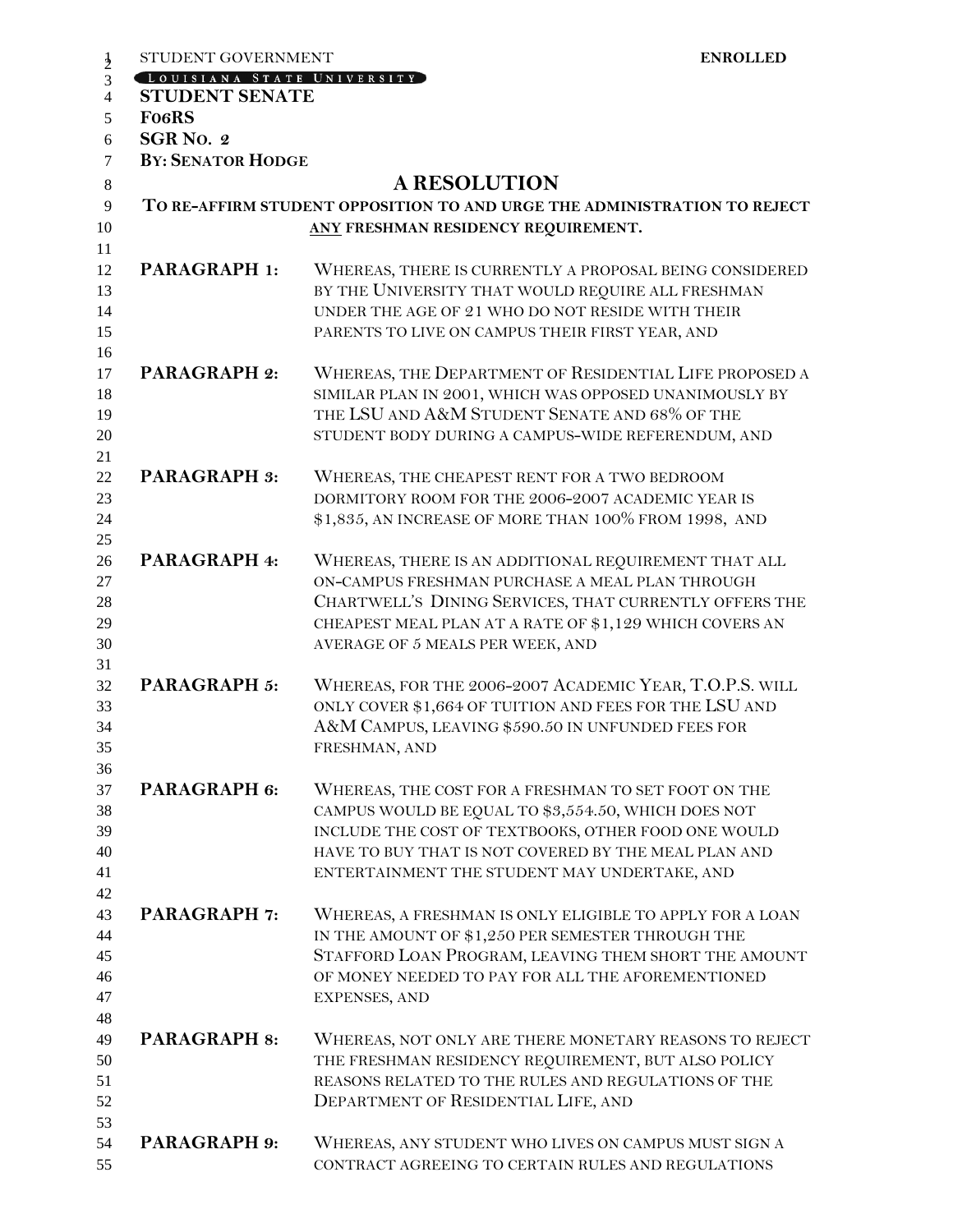| $\frac{1}{2}$                                                                 | STUDENT GOVERNMENT                          | <b>ENROLLED</b>                                                                                                                                                                                                                                                           |  |  |
|-------------------------------------------------------------------------------|---------------------------------------------|---------------------------------------------------------------------------------------------------------------------------------------------------------------------------------------------------------------------------------------------------------------------------|--|--|
| 3                                                                             | CLOUISIANA STATE UNIVERSITY                 |                                                                                                                                                                                                                                                                           |  |  |
| $\overline{4}$                                                                | <b>STUDENT SENATE</b><br>Fo <sub>6</sub> RS |                                                                                                                                                                                                                                                                           |  |  |
| 5                                                                             |                                             |                                                                                                                                                                                                                                                                           |  |  |
| SGR No. 2<br>6                                                                |                                             |                                                                                                                                                                                                                                                                           |  |  |
| $\tau$                                                                        | <b>BY: SENATOR HODGE</b>                    |                                                                                                                                                                                                                                                                           |  |  |
| 8                                                                             |                                             | <b>A RESOLUTION</b>                                                                                                                                                                                                                                                       |  |  |
| 9<br>TO RE-AFFIRM STUDENT OPPOSITION TO AND URGE THE ADMINISTRATION TO REJECT |                                             |                                                                                                                                                                                                                                                                           |  |  |
| 10<br>11                                                                      |                                             | ANY FRESHMAN RESIDENCY REQUIREMENT.                                                                                                                                                                                                                                       |  |  |
| 12<br>13<br>14<br>15<br>16                                                    | <b>PARAGRAPH 1:</b>                         | WHEREAS, THERE IS CURRENTLY A PROPOSAL BEING CONSIDERED<br>BY THE UNIVERSITY THAT WOULD REQUIRE ALL FRESHMAN<br>UNDER THE AGE OF 21 WHO DO NOT RESIDE WITH THEIR<br>PARENTS TO LIVE ON CAMPUS THEIR FIRST YEAR, AND                                                       |  |  |
| 17<br>18<br>19<br>20<br>21                                                    | <b>PARAGRAPH 2:</b>                         | WHEREAS, THE DEPARTMENT OF RESIDENTIAL LIFE PROPOSED A<br>SIMILAR PLAN IN 2001, WHICH WAS OPPOSED UNANIMOUSLY BY<br>THE LSU AND A&M STUDENT SENATE AND 68% OF THE<br>STUDENT BODY DURING A CAMPUS-WIDE REFERENDUM, AND                                                    |  |  |
| 22<br>23<br>24<br>25                                                          | <b>PARAGRAPH 3:</b>                         | WHEREAS, THE CHEAPEST RENT FOR A TWO BEDROOM<br>DORMITORY ROOM FOR THE 2006-2007 ACADEMIC YEAR IS<br>\$1,835, AN INCREASE OF MORE THAN 100% FROM 1998, AND                                                                                                                |  |  |
| 26<br>27<br>28<br>29<br>30<br>31                                              | PARAGRAPH 4:                                | WHEREAS, THERE IS AN ADDITIONAL REQUIREMENT THAT ALL<br>ON-CAMPUS FRESHMAN PURCHASE A MEAL PLAN THROUGH<br>CHARTWELL'S DINING SERVICES, THAT CURRENTLY OFFERS THE<br>CHEAPEST MEAL PLAN AT A RATE OF \$1,129 WHICH COVERS AN<br>AVERAGE OF 5 MEALS PER WEEK, AND          |  |  |
| 32<br>33<br>34<br>35<br>36                                                    | PARAGRAPH 5:                                | WHEREAS, FOR THE 2006-2007 ACADEMIC YEAR, T.O.P.S. WILL<br>ONLY COVER \$1,664 OF TUITION AND FEES FOR THE LSU AND<br>A&M CAMPUS, LEAVING \$590.50 IN UNFUNDED FEES FOR<br>FRESHMAN, AND                                                                                   |  |  |
| 37<br>38<br>39<br>40<br>41<br>42                                              | PARAGRAPH 6:                                | WHEREAS, THE COST FOR A FRESHMAN TO SET FOOT ON THE<br>CAMPUS WOULD BE EQUAL TO \$3,554.50, WHICH DOES NOT<br>INCLUDE THE COST OF TEXTBOOKS, OTHER FOOD ONE WOULD<br>HAVE TO BUY THAT IS NOT COVERED BY THE MEAL PLAN AND<br>ENTERTAINMENT THE STUDENT MAY UNDERTAKE, AND |  |  |
| 43<br>44<br>45<br>46<br>47                                                    | <b>PARAGRAPH 7:</b>                         | WHEREAS, A FRESHMAN IS ONLY ELIGIBLE TO APPLY FOR A LOAN<br>IN THE AMOUNT OF \$1,250 PER SEMESTER THROUGH THE<br>STAFFORD LOAN PROGRAM, LEAVING THEM SHORT THE AMOUNT<br>OF MONEY NEEDED TO PAY FOR ALL THE AFOREMENTIONED<br>EXPENSES, AND                               |  |  |
| 48<br>49<br>50<br>51<br>52<br>53                                              | <b>PARAGRAPH 8:</b>                         | WHEREAS, NOT ONLY ARE THERE MONETARY REASONS TO REJECT<br>THE FRESHMAN RESIDENCY REQUIREMENT, BUT ALSO POLICY<br>REASONS RELATED TO THE RULES AND REGULATIONS OF THE<br>DEPARTMENT OF RESIDENTIAL LIFE, AND                                                               |  |  |
| 54<br>55                                                                      | <b>PARAGRAPH 9:</b>                         | WHEREAS, ANY STUDENT WHO LIVES ON CAMPUS MUST SIGN A<br>CONTRACT AGREEING TO CERTAIN RULES AND REGULATIONS                                                                                                                                                                |  |  |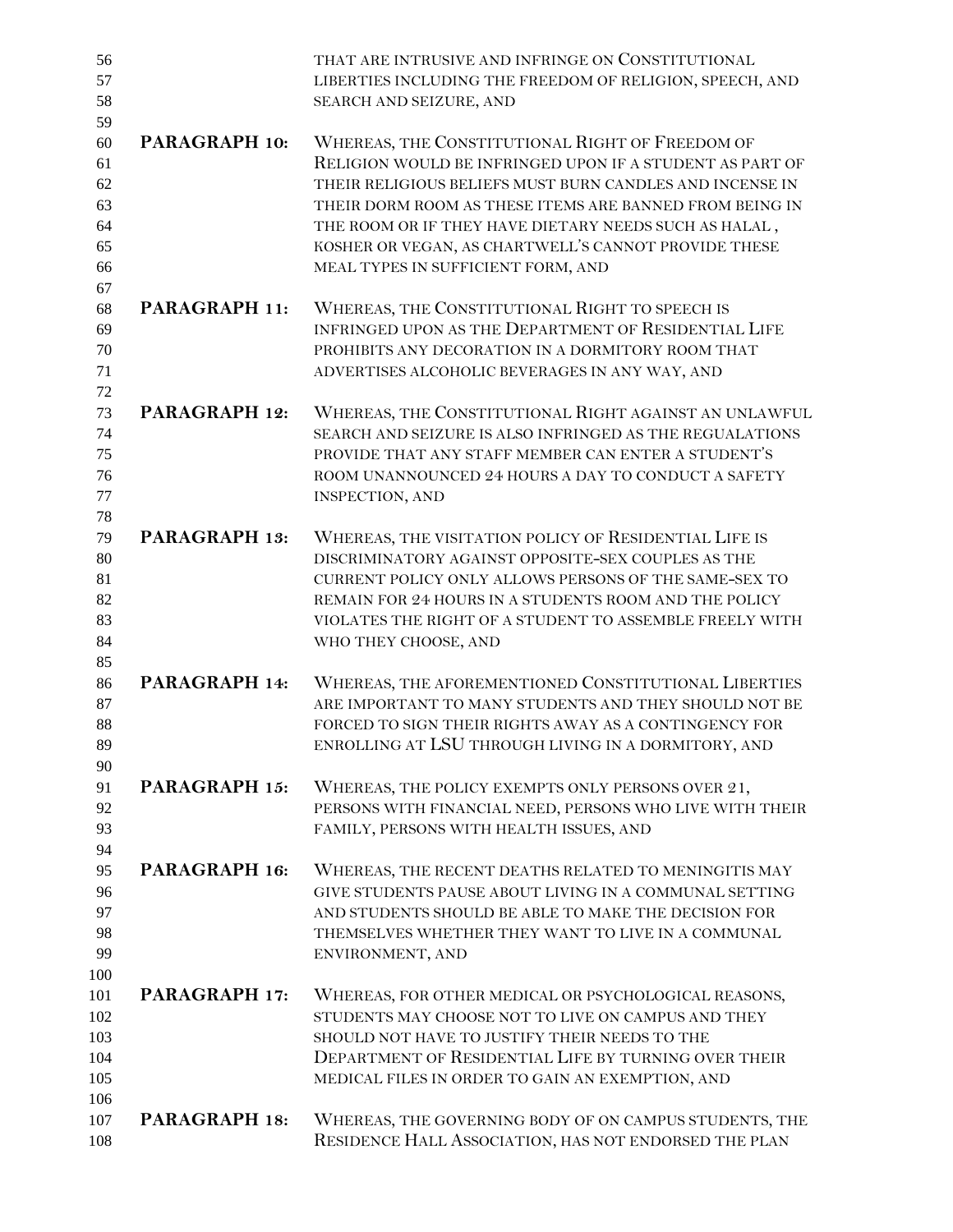| 56<br>57<br>58                                     |                      | THAT ARE INTRUSIVE AND INFRINGE ON CONSTITUTIONAL<br>LIBERTIES INCLUDING THE FREEDOM OF RELIGION, SPEECH, AND<br>SEARCH AND SEIZURE, AND                                                                                                                                                                                                                                                  |
|----------------------------------------------------|----------------------|-------------------------------------------------------------------------------------------------------------------------------------------------------------------------------------------------------------------------------------------------------------------------------------------------------------------------------------------------------------------------------------------|
| 59<br>60<br>61<br>62<br>63<br>64<br>65<br>66<br>67 | PARAGRAPH 10:        | WHEREAS, THE CONSTITUTIONAL RIGHT OF FREEDOM OF<br>RELIGION WOULD BE INFRINGED UPON IF A STUDENT AS PART OF<br>THEIR RELIGIOUS BELIEFS MUST BURN CANDLES AND INCENSE IN<br>THEIR DORM ROOM AS THESE ITEMS ARE BANNED FROM BEING IN<br>THE ROOM OR IF THEY HAVE DIETARY NEEDS SUCH AS HALAL,<br>KOSHER OR VEGAN, AS CHARTWELL'S CANNOT PROVIDE THESE<br>MEAL TYPES IN SUFFICIENT FORM, AND |
| 68<br>69<br>70<br>71<br>72                         | PARAGRAPH 11:        | WHEREAS, THE CONSTITUTIONAL RIGHT TO SPEECH IS<br>INFRINGED UPON AS THE DEPARTMENT OF RESIDENTIAL LIFE<br>PROHIBITS ANY DECORATION IN A DORMITORY ROOM THAT<br>ADVERTISES ALCOHOLIC BEVERAGES IN ANY WAY, AND                                                                                                                                                                             |
| 73<br>74<br>75<br>76<br>77<br>78                   | PARAGRAPH 12:        | WHEREAS, THE CONSTITUTIONAL RIGHT AGAINST AN UNLAWFUL<br>SEARCH AND SEIZURE IS ALSO INFRINGED AS THE REGUALATIONS<br>PROVIDE THAT ANY STAFF MEMBER CAN ENTER A STUDENT'S<br>ROOM UNANNOUNCED 24 HOURS A DAY TO CONDUCT A SAFETY<br>INSPECTION, AND                                                                                                                                        |
| 79<br>80<br>81<br>82<br>83<br>84                   | <b>PARAGRAPH 13:</b> | WHEREAS, THE VISITATION POLICY OF RESIDENTIAL LIFE IS<br>DISCRIMINATORY AGAINST OPPOSITE-SEX COUPLES AS THE<br>CURRENT POLICY ONLY ALLOWS PERSONS OF THE SAME-SEX TO<br>REMAIN FOR 24 HOURS IN A STUDENTS ROOM AND THE POLICY<br>VIOLATES THE RIGHT OF A STUDENT TO ASSEMBLE FREELY WITH<br>WHO THEY CHOOSE, AND                                                                          |
| 85<br>86<br>87<br>88<br>89<br>90                   | PARAGRAPH 14:        | WHEREAS, THE AFOREMENTIONED CONSTITUTIONAL LIBERTIES<br>ARE IMPORTANT TO MANY STUDENTS AND THEY SHOULD NOT BE<br>FORCED TO SIGN THEIR RIGHTS AWAY AS A CONTINGENCY FOR<br>ENROLLING AT LSU THROUGH LIVING IN A DORMITORY, AND                                                                                                                                                             |
| 91<br>92<br>93<br>94                               | PARAGRAPH 15:        | WHEREAS, THE POLICY EXEMPTS ONLY PERSONS OVER 21,<br>PERSONS WITH FINANCIAL NEED, PERSONS WHO LIVE WITH THEIR<br>FAMILY, PERSONS WITH HEALTH ISSUES, AND                                                                                                                                                                                                                                  |
| 95<br>96<br>97<br>98<br>99<br>100                  | PARAGRAPH 16:        | WHEREAS, THE RECENT DEATHS RELATED TO MENINGITIS MAY<br>GIVE STUDENTS PAUSE ABOUT LIVING IN A COMMUNAL SETTING<br>AND STUDENTS SHOULD BE ABLE TO MAKE THE DECISION FOR<br>THEMSELVES WHETHER THEY WANT TO LIVE IN A COMMUNAL<br>ENVIRONMENT, AND                                                                                                                                          |
| 101<br>102<br>103<br>104<br>105<br>106             | PARAGRAPH 17:        | WHEREAS, FOR OTHER MEDICAL OR PSYCHOLOGICAL REASONS,<br>STUDENTS MAY CHOOSE NOT TO LIVE ON CAMPUS AND THEY<br>SHOULD NOT HAVE TO JUSTIFY THEIR NEEDS TO THE<br>DEPARTMENT OF RESIDENTIAL LIFE BY TURNING OVER THEIR<br>MEDICAL FILES IN ORDER TO GAIN AN EXEMPTION, AND                                                                                                                   |
| 107<br>108                                         | PARAGRAPH 18:        | WHEREAS, THE GOVERNING BODY OF ON CAMPUS STUDENTS, THE<br>RESIDENCE HALL ASSOCIATION, HAS NOT ENDORSED THE PLAN                                                                                                                                                                                                                                                                           |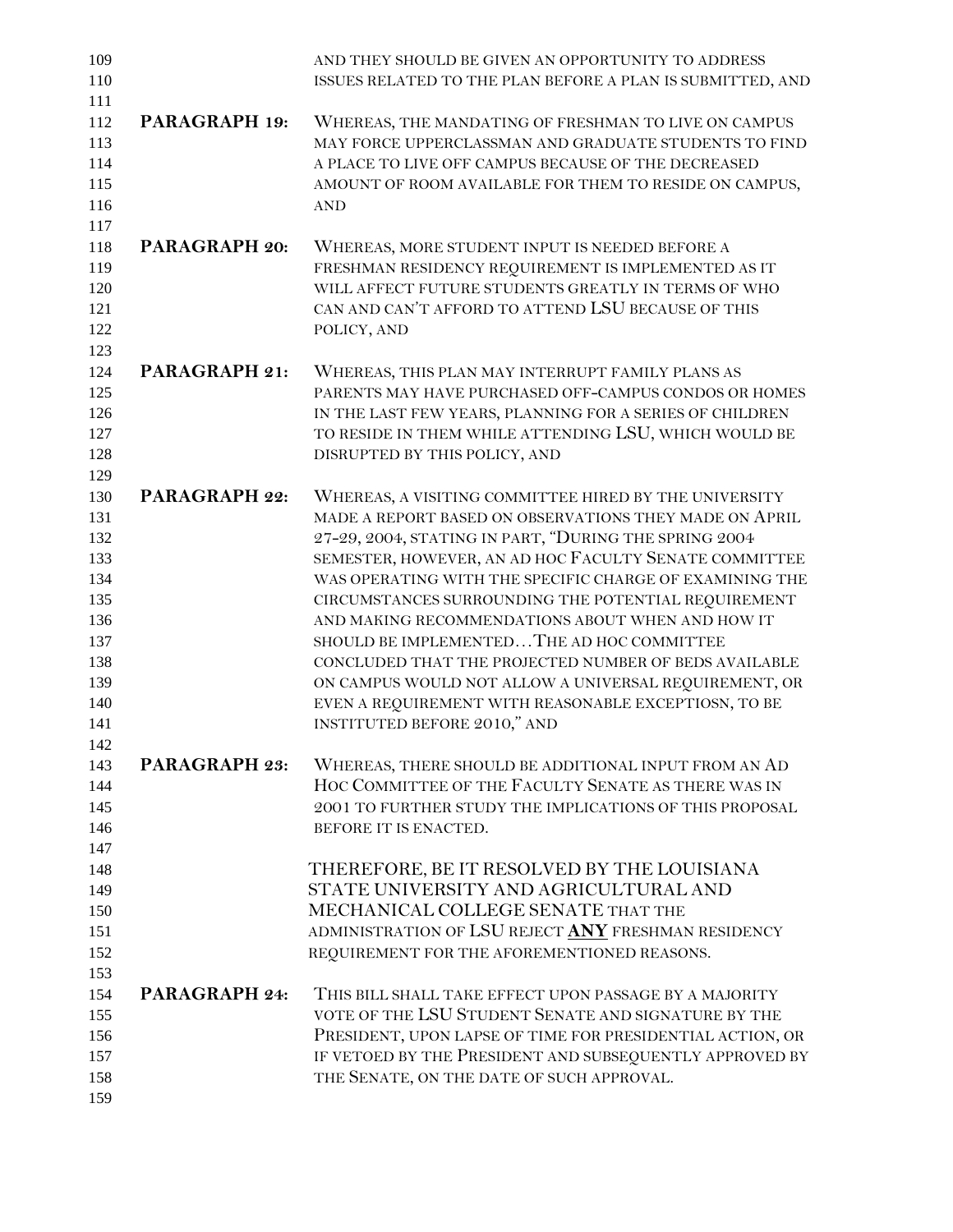| 109<br>110 |               | AND THEY SHOULD BE GIVEN AN OPPORTUNITY TO ADDRESS<br>ISSUES RELATED TO THE PLAN BEFORE A PLAN IS SUBMITTED, AND |
|------------|---------------|------------------------------------------------------------------------------------------------------------------|
| 111        |               |                                                                                                                  |
| 112        | PARAGRAPH 19: | WHEREAS, THE MANDATING OF FRESHMAN TO LIVE ON CAMPUS                                                             |
| 113        |               | MAY FORCE UPPERCLASSMAN AND GRADUATE STUDENTS TO FIND                                                            |
| 114        |               | A PLACE TO LIVE OFF CAMPUS BECAUSE OF THE DECREASED                                                              |
| 115        |               | AMOUNT OF ROOM AVAILABLE FOR THEM TO RESIDE ON CAMPUS,                                                           |
| 116        |               | <b>AND</b>                                                                                                       |
| 117        |               |                                                                                                                  |
| 118        | PARAGRAPH 20: | WHEREAS, MORE STUDENT INPUT IS NEEDED BEFORE A                                                                   |
| 119<br>120 |               | FRESHMAN RESIDENCY REQUIREMENT IS IMPLEMENTED AS IT<br>WILL AFFECT FUTURE STUDENTS GREATLY IN TERMS OF WHO       |
| 121        |               | CAN AND CAN'T AFFORD TO ATTEND LSU BECAUSE OF THIS                                                               |
| 122        |               | POLICY, AND                                                                                                      |
| 123        |               |                                                                                                                  |
| 124        | PARAGRAPH 21: | WHEREAS, THIS PLAN MAY INTERRUPT FAMILY PLANS AS                                                                 |
| 125        |               | PARENTS MAY HAVE PURCHASED OFF-CAMPUS CONDOS OR HOMES                                                            |
| 126        |               | IN THE LAST FEW YEARS, PLANNING FOR A SERIES OF CHILDREN                                                         |
| 127        |               | TO RESIDE IN THEM WHILE ATTENDING LSU, WHICH WOULD BE                                                            |
| 128        |               | DISRUPTED BY THIS POLICY, AND                                                                                    |
| 129        |               |                                                                                                                  |
| 130        | PARAGRAPH 22: | WHEREAS, A VISITING COMMITTEE HIRED BY THE UNIVERSITY                                                            |
| 131        |               | MADE A REPORT BASED ON OBSERVATIONS THEY MADE ON APRIL                                                           |
| 132        |               | 27-29, 2004, STATING IN PART, "DURING THE SPRING 2004                                                            |
| 133        |               | SEMESTER, HOWEVER, AN AD HOC FACULTY SENATE COMMITTEE                                                            |
| 134        |               | WAS OPERATING WITH THE SPECIFIC CHARGE OF EXAMINING THE                                                          |
| 135        |               | CIRCUMSTANCES SURROUNDING THE POTENTIAL REQUIREMENT                                                              |
| 136        |               | AND MAKING RECOMMENDATIONS ABOUT WHEN AND HOW IT                                                                 |
| 137<br>138 |               | SHOULD BE IMPLEMENTED THE AD HOC COMMITTEE<br>CONCLUDED THAT THE PROJECTED NUMBER OF BEDS AVAILABLE              |
| 139        |               | ON CAMPUS WOULD NOT ALLOW A UNIVERSAL REQUIREMENT, OR                                                            |
| 140        |               | EVEN A REQUIREMENT WITH REASONABLE EXCEPTIOSN, TO BE                                                             |
| 141        |               | INSTITUTED BEFORE 2010," AND                                                                                     |
| 142        |               |                                                                                                                  |
| 143        | PARAGRAPH 23: | WHEREAS, THERE SHOULD BE ADDITIONAL INPUT FROM AN AD                                                             |
| 144        |               | HOC COMMITTEE OF THE FACULTY SENATE AS THERE WAS IN                                                              |
| 145        |               | 2001 TO FURTHER STUDY THE IMPLICATIONS OF THIS PROPOSAL                                                          |
| 146        |               | BEFORE IT IS ENACTED.                                                                                            |
| 147        |               |                                                                                                                  |
| 148        |               | THEREFORE, BE IT RESOLVED BY THE LOUISIANA                                                                       |
| 149        |               | STATE UNIVERSITY AND AGRICULTURAL AND                                                                            |
| 150        |               | MECHANICAL COLLEGE SENATE THAT THE                                                                               |
| 151        |               | ADMINISTRATION OF LSU REJECT ANY FRESHMAN RESIDENCY                                                              |
| 152        |               | REQUIREMENT FOR THE AFOREMENTIONED REASONS.                                                                      |
| 153        |               |                                                                                                                  |
| 154        | PARAGRAPH 24: | THIS BILL SHALL TAKE EFFECT UPON PASSAGE BY A MAJORITY<br>VOTE OF THE LSU STUDENT SENATE AND SIGNATURE BY THE    |
| 155<br>156 |               | PRESIDENT, UPON LAPSE OF TIME FOR PRESIDENTIAL ACTION, OR                                                        |
| 157        |               | IF VETOED BY THE PRESIDENT AND SUBSEQUENTLY APPROVED BY                                                          |
| 158        |               | THE SENATE, ON THE DATE OF SUCH APPROVAL.                                                                        |
| 159        |               |                                                                                                                  |
|            |               |                                                                                                                  |